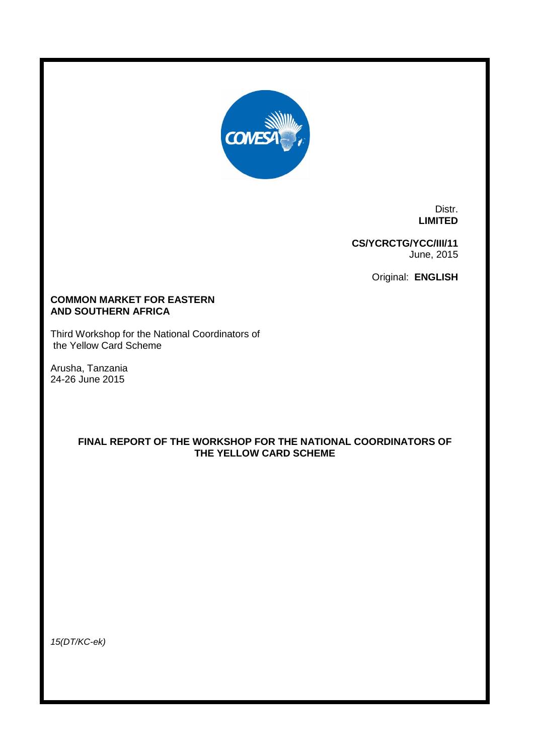

Distr. **LIMITED**

**CS/YCRCTG/YCC/III/11** June, 2015

Original: **ENGLISH**

# **COMMON MARKET FOR EASTERN AND SOUTHERN AFRICA**

Third Workshop for the National Coordinators of the Yellow Card Scheme

Arusha, Tanzania 24-26 June 2015

# **FINAL REPORT OF THE WORKSHOP FOR THE NATIONAL COORDINATORS OF THE YELLOW CARD SCHEME**

*15(DT/KC-ek)*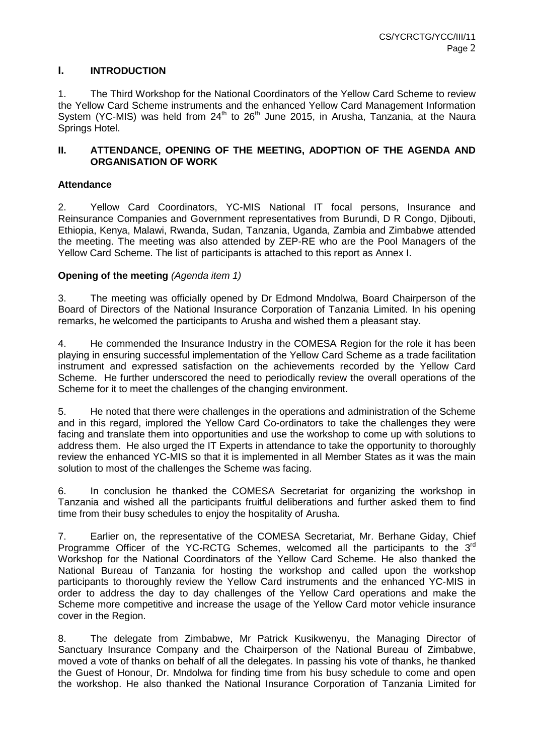# **I. INTRODUCTION**

1. The Third Workshop for the National Coordinators of the Yellow Card Scheme to review the Yellow Card Scheme instruments and the enhanced Yellow Card Management Information System (YC-MIS) was held from  $24<sup>th</sup>$  to  $26<sup>th</sup>$  June 2015, in Arusha, Tanzania, at the Naura Springs Hotel.

# **II. ATTENDANCE, OPENING OF THE MEETING, ADOPTION OF THE AGENDA AND ORGANISATION OF WORK**

# **Attendance**

2. Yellow Card Coordinators, YC-MIS National IT focal persons, Insurance and Reinsurance Companies and Government representatives from Burundi, D R Congo, Djibouti, Ethiopia, Kenya, Malawi, Rwanda, Sudan, Tanzania, Uganda, Zambia and Zimbabwe attended the meeting. The meeting was also attended by ZEP-RE who are the Pool Managers of the Yellow Card Scheme. The list of participants is attached to this report as Annex I.

# **Opening of the meeting** *(Agenda item 1)*

3. The meeting was officially opened by Dr Edmond Mndolwa, Board Chairperson of the Board of Directors of the National Insurance Corporation of Tanzania Limited. In his opening remarks, he welcomed the participants to Arusha and wished them a pleasant stay.

4. He commended the Insurance Industry in the COMESA Region for the role it has been playing in ensuring successful implementation of the Yellow Card Scheme as a trade facilitation instrument and expressed satisfaction on the achievements recorded by the Yellow Card Scheme. He further underscored the need to periodically review the overall operations of the Scheme for it to meet the challenges of the changing environment.

5. He noted that there were challenges in the operations and administration of the Scheme and in this regard, implored the Yellow Card Co-ordinators to take the challenges they were facing and translate them into opportunities and use the workshop to come up with solutions to address them. He also urged the IT Experts in attendance to take the opportunity to thoroughly review the enhanced YC-MIS so that it is implemented in all Member States as it was the main solution to most of the challenges the Scheme was facing.

6. In conclusion he thanked the COMESA Secretariat for organizing the workshop in Tanzania and wished all the participants fruitful deliberations and further asked them to find time from their busy schedules to enjoy the hospitality of Arusha.

7. Earlier on, the representative of the COMESA Secretariat, Mr. Berhane Giday, Chief Programme Officer of the YC-RCTG Schemes, welcomed all the participants to the  $3^{rd}$ Workshop for the National Coordinators of the Yellow Card Scheme. He also thanked the National Bureau of Tanzania for hosting the workshop and called upon the workshop participants to thoroughly review the Yellow Card instruments and the enhanced YC-MIS in order to address the day to day challenges of the Yellow Card operations and make the Scheme more competitive and increase the usage of the Yellow Card motor vehicle insurance cover in the Region.

8. The delegate from Zimbabwe, Mr Patrick Kusikwenyu, the Managing Director of Sanctuary Insurance Company and the Chairperson of the National Bureau of Zimbabwe, moved a vote of thanks on behalf of all the delegates. In passing his vote of thanks, he thanked the Guest of Honour, Dr. Mndolwa for finding time from his busy schedule to come and open the workshop. He also thanked the National Insurance Corporation of Tanzania Limited for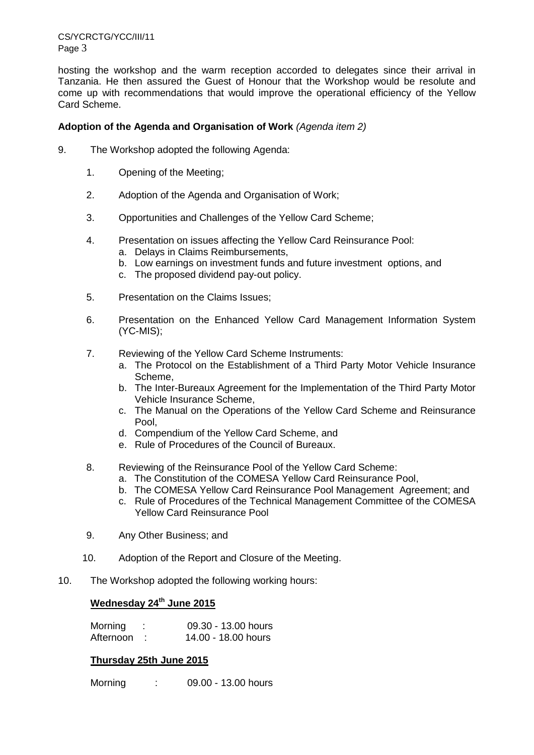CS/YCRCTG/YCC/III/11 Page 3

hosting the workshop and the warm reception accorded to delegates since their arrival in Tanzania. He then assured the Guest of Honour that the Workshop would be resolute and come up with recommendations that would improve the operational efficiency of the Yellow Card Scheme.

# **Adoption of the Agenda and Organisation of Work** *(Agenda item 2)*

- 9. The Workshop adopted the following Agenda:
	- 1. Opening of the Meeting;
	- 2. Adoption of the Agenda and Organisation of Work;
	- 3. Opportunities and Challenges of the Yellow Card Scheme;
	- 4. Presentation on issues affecting the Yellow Card Reinsurance Pool:
		- a. Delays in Claims Reimbursements,
		- b. Low earnings on investment funds and future investment options, and
		- c. The proposed dividend pay-out policy.
	- 5. Presentation on the Claims Issues;
	- 6. Presentation on the Enhanced Yellow Card Management Information System (YC-MIS);
	- 7. Reviewing of the Yellow Card Scheme Instruments:
		- a. The Protocol on the Establishment of a Third Party Motor Vehicle Insurance Scheme,
		- b. The Inter-Bureaux Agreement for the Implementation of the Third Party Motor Vehicle Insurance Scheme,
		- c. The Manual on the Operations of the Yellow Card Scheme and Reinsurance Pool,
		- d. Compendium of the Yellow Card Scheme, and
		- e. Rule of Procedures of the Council of Bureaux.
	- 8. Reviewing of the Reinsurance Pool of the Yellow Card Scheme:
		- a. The Constitution of the COMESA Yellow Card Reinsurance Pool,
		- b. The COMESA Yellow Card Reinsurance Pool Management Agreement; and
		- c. Rule of Procedures of the Technical Management Committee of the COMESA Yellow Card Reinsurance Pool
	- 9. Any Other Business; and
	- 10. Adoption of the Report and Closure of the Meeting.
- 10. The Workshop adopted the following working hours:

# **Wednesday 24th June 2015**

| Morning   | 09.30 - 13.00 hours |
|-----------|---------------------|
| Afternoon | 14.00 - 18.00 hours |

# **Thursday 25th June 2015**

Morning : 09.00 - 13.00 hours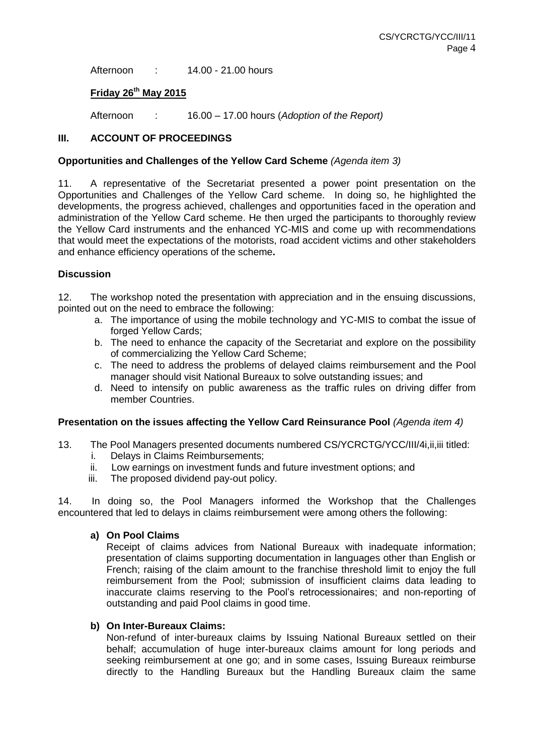Afternoon : 14.00 - 21.00 hours

# **Friday 26th May 2015**

Afternoon : 16.00 – 17.00 hours (*Adoption of the Report)*

# **III. ACCOUNT OF PROCEEDINGS**

## **Opportunities and Challenges of the Yellow Card Scheme** *(Agenda item 3)*

11. A representative of the Secretariat presented a power point presentation on the Opportunities and Challenges of the Yellow Card scheme. In doing so, he highlighted the developments, the progress achieved, challenges and opportunities faced in the operation and administration of the Yellow Card scheme. He then urged the participants to thoroughly review the Yellow Card instruments and the enhanced YC-MIS and come up with recommendations that would meet the expectations of the motorists, road accident victims and other stakeholders and enhance efficiency operations of the scheme**.** 

# **Discussion**

12. The workshop noted the presentation with appreciation and in the ensuing discussions, pointed out on the need to embrace the following:

- a. The importance of using the mobile technology and YC-MIS to combat the issue of forged Yellow Cards:
- b. The need to enhance the capacity of the Secretariat and explore on the possibility of commercializing the Yellow Card Scheme;
- c. The need to address the problems of delayed claims reimbursement and the Pool manager should visit National Bureaux to solve outstanding issues; and
- d. Need to intensify on public awareness as the traffic rules on driving differ from member Countries.

### **Presentation on the issues affecting the Yellow Card Reinsurance Pool** *(Agenda item 4)*

- 13. The Pool Managers presented documents numbered CS/YCRCTG/YCC/III/4i,ii,iii titled:
	- i. Delays in Claims Reimbursements;
	- ii. Low earnings on investment funds and future investment options; and
	- iii. The proposed dividend pay-out policy.

14. In doing so, the Pool Managers informed the Workshop that the Challenges encountered that led to delays in claims reimbursement were among others the following:

# **a) On Pool Claims**

Receipt of claims advices from National Bureaux with inadequate information; presentation of claims supporting documentation in languages other than English or French; raising of the claim amount to the franchise threshold limit to enjoy the full reimbursement from the Pool; submission of insufficient claims data leading to inaccurate claims reserving to the Pool's retrocessionaires; and non-reporting of outstanding and paid Pool claims in good time.

### **b) On Inter-Bureaux Claims:**

Non-refund of inter-bureaux claims by Issuing National Bureaux settled on their behalf; accumulation of huge inter-bureaux claims amount for long periods and seeking reimbursement at one go; and in some cases, Issuing Bureaux reimburse directly to the Handling Bureaux but the Handling Bureaux claim the same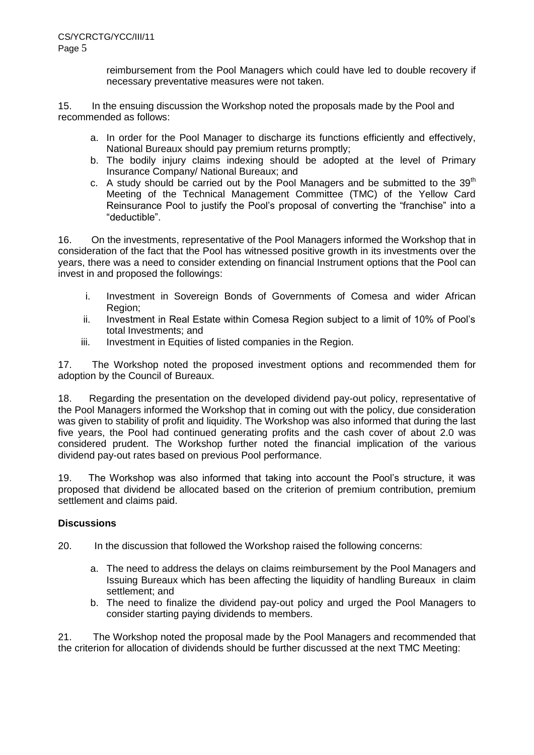reimbursement from the Pool Managers which could have led to double recovery if necessary preventative measures were not taken.

15. In the ensuing discussion the Workshop noted the proposals made by the Pool and recommended as follows:

- a. In order for the Pool Manager to discharge its functions efficiently and effectively, National Bureaux should pay premium returns promptly;
- b. The bodily injury claims indexing should be adopted at the level of Primary Insurance Company/ National Bureaux; and
- c. A study should be carried out by the Pool Managers and be submitted to the 39<sup>th</sup> Meeting of the Technical Management Committee (TMC) of the Yellow Card Reinsurance Pool to justify the Pool's proposal of converting the "franchise" into a "deductible".

16. On the investments, representative of the Pool Managers informed the Workshop that in consideration of the fact that the Pool has witnessed positive growth in its investments over the years, there was a need to consider extending on financial Instrument options that the Pool can invest in and proposed the followings:

- i. Investment in Sovereign Bonds of Governments of Comesa and wider African Region;
- ii. Investment in Real Estate within Comesa Region subject to a limit of 10% of Pool's total Investments; and
- iii. Investment in Equities of listed companies in the Region.

17. The Workshop noted the proposed investment options and recommended them for adoption by the Council of Bureaux.

18. Regarding the presentation on the developed dividend pay-out policy, representative of the Pool Managers informed the Workshop that in coming out with the policy, due consideration was given to stability of profit and liquidity. The Workshop was also informed that during the last five years, the Pool had continued generating profits and the cash cover of about 2.0 was considered prudent. The Workshop further noted the financial implication of the various dividend pay-out rates based on previous Pool performance.

19. The Workshop was also informed that taking into account the Pool's structure, it was proposed that dividend be allocated based on the criterion of premium contribution, premium settlement and claims paid.

# **Discussions**

20. In the discussion that followed the Workshop raised the following concerns:

- a. The need to address the delays on claims reimbursement by the Pool Managers and Issuing Bureaux which has been affecting the liquidity of handling Bureaux in claim settlement; and
- b. The need to finalize the dividend pay-out policy and urged the Pool Managers to consider starting paying dividends to members.

21. The Workshop noted the proposal made by the Pool Managers and recommended that the criterion for allocation of dividends should be further discussed at the next TMC Meeting: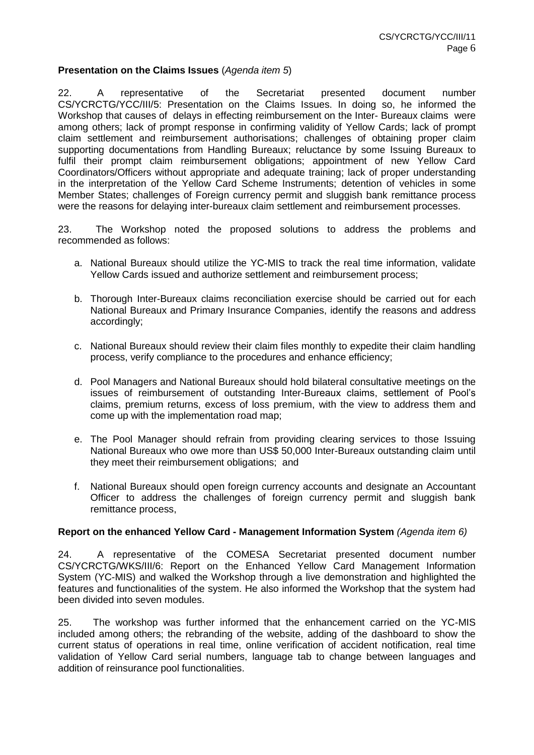## **Presentation on the Claims Issues** (*Agenda item 5*)

22. A representative of the Secretariat presented document number CS/YCRCTG/YCC/III/5: Presentation on the Claims Issues. In doing so, he informed the Workshop that causes of delays in effecting reimbursement on the Inter- Bureaux claims were among others; lack of prompt response in confirming validity of Yellow Cards; lack of prompt claim settlement and reimbursement authorisations; challenges of obtaining proper claim supporting documentations from Handling Bureaux; reluctance by some Issuing Bureaux to fulfil their prompt claim reimbursement obligations; appointment of new Yellow Card Coordinators/Officers without appropriate and adequate training; lack of proper understanding in the interpretation of the Yellow Card Scheme Instruments; detention of vehicles in some Member States; challenges of Foreign currency permit and sluggish bank remittance process were the reasons for delaying inter-bureaux claim settlement and reimbursement processes.

23. The Workshop noted the proposed solutions to address the problems and recommended as follows:

- a. National Bureaux should utilize the YC-MIS to track the real time information, validate Yellow Cards issued and authorize settlement and reimbursement process;
- b. Thorough Inter-Bureaux claims reconciliation exercise should be carried out for each National Bureaux and Primary Insurance Companies, identify the reasons and address accordingly;
- c. National Bureaux should review their claim files monthly to expedite their claim handling process, verify compliance to the procedures and enhance efficiency;
- d. Pool Managers and National Bureaux should hold bilateral consultative meetings on the issues of reimbursement of outstanding Inter-Bureaux claims, settlement of Pool's claims, premium returns, excess of loss premium, with the view to address them and come up with the implementation road map;
- e. The Pool Manager should refrain from providing clearing services to those Issuing National Bureaux who owe more than US\$ 50,000 Inter-Bureaux outstanding claim until they meet their reimbursement obligations; and
- f. National Bureaux should open foreign currency accounts and designate an Accountant Officer to address the challenges of foreign currency permit and sluggish bank remittance process,

### **Report on the enhanced Yellow Card - Management Information System** *(Agenda item 6)*

24. A representative of the COMESA Secretariat presented document number CS/YCRCTG/WKS/III/6: Report on the Enhanced Yellow Card Management Information System (YC-MIS) and walked the Workshop through a live demonstration and highlighted the features and functionalities of the system. He also informed the Workshop that the system had been divided into seven modules.

25. The workshop was further informed that the enhancement carried on the YC-MIS included among others; the rebranding of the website, adding of the dashboard to show the current status of operations in real time, online verification of accident notification, real time validation of Yellow Card serial numbers, language tab to change between languages and addition of reinsurance pool functionalities.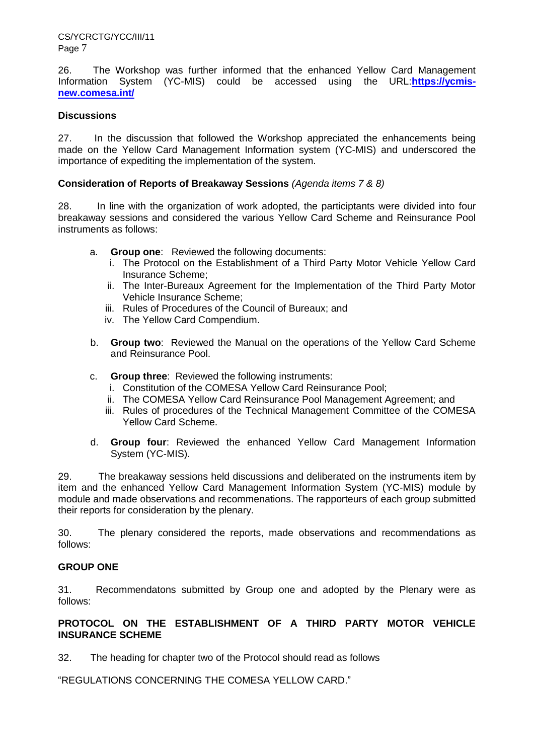26. The Workshop was further informed that the enhanced Yellow Card Management Information System (YC-MIS) could be accessed using the URL:**[https://ycmis](https://ycmis-new.comesa.int/)[new.comesa.int/](https://ycmis-new.comesa.int/)**

# **Discussions**

27. In the discussion that followed the Workshop appreciated the enhancements being made on the Yellow Card Management Information system (YC-MIS) and underscored the importance of expediting the implementation of the system.

# **Consideration of Reports of Breakaway Sessions** *(Agenda items 7 & 8)*

28. In line with the organization of work adopted, the participtants were divided into four breakaway sessions and considered the various Yellow Card Scheme and Reinsurance Pool instruments as follows:

- a. **Group one**: Reviewed the following documents:
	- i. The Protocol on the Establishment of a Third Party Motor Vehicle Yellow Card Insurance Scheme;
	- ii. The Inter-Bureaux Agreement for the Implementation of the Third Party Motor Vehicle Insurance Scheme;
	- iii. Rules of Procedures of the Council of Bureaux; and
	- iv. The Yellow Card Compendium.
- b. **Group two**: Reviewed the Manual on the operations of the Yellow Card Scheme and Reinsurance Pool.
- c. **Group three**: Reviewed the following instruments:
	- i. Constitution of the COMESA Yellow Card Reinsurance Pool;
	- ii. The COMESA Yellow Card Reinsurance Pool Management Agreement; and
	- iii. Rules of procedures of the Technical Management Committee of the COMESA Yellow Card Scheme.
- d. **Group four**: Reviewed the enhanced Yellow Card Management Information System (YC-MIS).

29. The breakaway sessions held discussions and deliberated on the instruments item by item and the enhanced Yellow Card Management Information System (YC-MIS) module by module and made observations and recommenations. The rapporteurs of each group submitted their reports for consideration by the plenary.

30. The plenary considered the reports, made observations and recommendations as follows:

# **GROUP ONE**

31. Recommendatons submitted by Group one and adopted by the Plenary were as follows:

# **PROTOCOL ON THE ESTABLISHMENT OF A THIRD PARTY MOTOR VEHICLE INSURANCE SCHEME**

32. The heading for chapter two of the Protocol should read as follows

"REGULATIONS CONCERNING THE COMESA YELLOW CARD."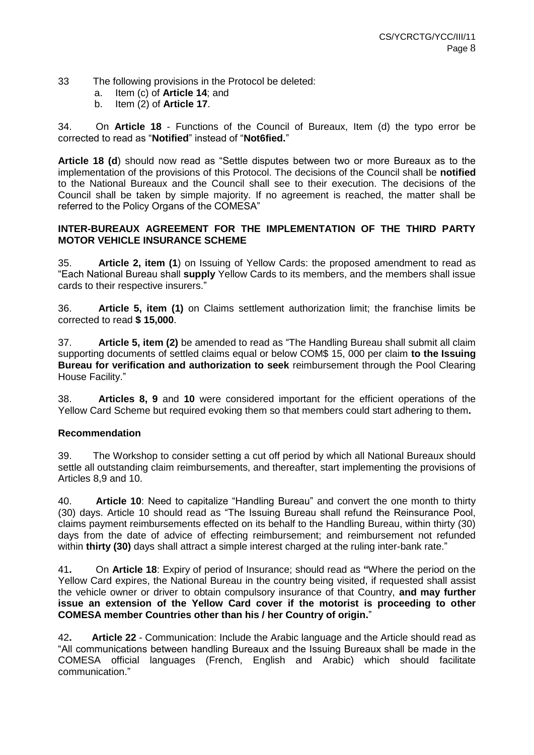- 33 The following provisions in the Protocol be deleted:
	- a. Item (c) of **Article 14**; and
	- b. Item (2) of **Article 17**.

34. On **Article 18** - Functions of the Council of Bureaux, Item (d) the typo error be corrected to read as "**Notified**" instead of "**Not6fied.**"

**Article 18 (d**) should now read as "Settle disputes between two or more Bureaux as to the implementation of the provisions of this Protocol. The decisions of the Council shall be **notified** to the National Bureaux and the Council shall see to their execution. The decisions of the Council shall be taken by simple majority. If no agreement is reached, the matter shall be referred to the Policy Organs of the COMESA"

# **INTER-BUREAUX AGREEMENT FOR THE IMPLEMENTATION OF THE THIRD PARTY MOTOR VEHICLE INSURANCE SCHEME**

35. **Article 2, item (1**) on Issuing of Yellow Cards: the proposed amendment to read as "Each National Bureau shall **supply** Yellow Cards to its members, and the members shall issue cards to their respective insurers."

36. **Article 5, item (1)** on Claims settlement authorization limit; the franchise limits be corrected to read **\$ 15,000**.

37. **Article 5, item (2)** be amended to read as "The Handling Bureau shall submit all claim supporting documents of settled claims equal or below COM\$ 15, 000 per claim **to the Issuing Bureau for verification and authorization to seek** reimbursement through the Pool Clearing House Facility."

38. **Articles 8, 9** and **10** were considered important for the efficient operations of the Yellow Card Scheme but required evoking them so that members could start adhering to them**.**

# **Recommendation**

39. The Workshop to consider setting a cut off period by which all National Bureaux should settle all outstanding claim reimbursements, and thereafter, start implementing the provisions of Articles 8,9 and 10.

40. **Article 10**: Need to capitalize "Handling Bureau" and convert the one month to thirty (30) days. Article 10 should read as "The Issuing Bureau shall refund the Reinsurance Pool, claims payment reimbursements effected on its behalf to the Handling Bureau, within thirty (30) days from the date of advice of effecting reimbursement; and reimbursement not refunded within **thirty (30)** days shall attract a simple interest charged at the ruling inter-bank rate."

41**.** On **Article 18**: Expiry of period of Insurance; should read as **"**Where the period on the Yellow Card expires, the National Bureau in the country being visited, if requested shall assist the vehicle owner or driver to obtain compulsory insurance of that Country, **and may further issue an extension of the Yellow Card cover if the motorist is proceeding to other COMESA member Countries other than his / her Country of origin.**"

42**. Article 22** - Communication: Include the Arabic language and the Article should read as "All communications between handling Bureaux and the Issuing Bureaux shall be made in the COMESA official languages (French, English and Arabic) which should facilitate communication."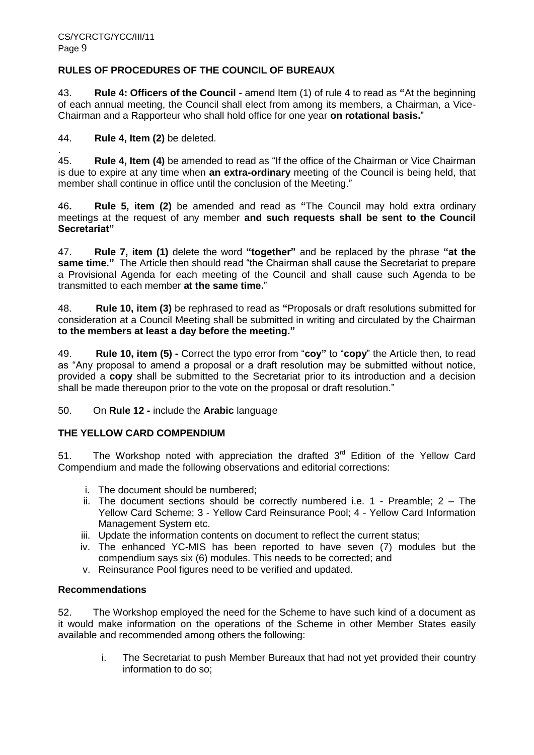# **RULES OF PROCEDURES OF THE COUNCIL OF BUREAUX**

43. **Rule 4: Officers of the Council -** amend Item (1) of rule 4 to read as **"**At the beginning of each annual meeting, the Council shall elect from among its members, a Chairman, a Vice-Chairman and a Rapporteur who shall hold office for one year **on rotational basis.**"

# 44. **Rule 4, Item (2)** be deleted.

. 45. **Rule 4, Item (4)** be amended to read as "If the office of the Chairman or Vice Chairman is due to expire at any time when **an extra-ordinary** meeting of the Council is being held, that member shall continue in office until the conclusion of the Meeting."

46**. Rule 5, item (2)** be amended and read as **"**The Council may hold extra ordinary meetings at the request of any member **and such requests shall be sent to the Council Secretariat"**

47. **Rule 7, item (1)** delete the word **"together"** and be replaced by the phrase **"at the same time."** The Article then should read "the Chairman shall cause the Secretariat to prepare a Provisional Agenda for each meeting of the Council and shall cause such Agenda to be transmitted to each member **at the same time.**"

48. **Rule 10, item (3)** be rephrased to read as **"**Proposals or draft resolutions submitted for consideration at a Council Meeting shall be submitted in writing and circulated by the Chairman **to the members at least a day before the meeting."**

49. **Rule 10, item (5) -** Correct the typo error from "**coy"** to "**copy**" the Article then, to read as "Any proposal to amend a proposal or a draft resolution may be submitted without notice, provided a **copy** shall be submitted to the Secretariat prior to its introduction and a decision shall be made thereupon prior to the vote on the proposal or draft resolution."

50. On **Rule 12 -** include the **Arabic** language

# **THE YELLOW CARD COMPENDIUM**

51. The Workshop noted with appreciation the drafted  $3<sup>rd</sup>$  Edition of the Yellow Card Compendium and made the following observations and editorial corrections:

- i. The document should be numbered;
- ii. The document sections should be correctly numbered i.e. 1 Preamble; 2 The Yellow Card Scheme; 3 - Yellow Card Reinsurance Pool; 4 - Yellow Card Information Management System etc.
- iii. Update the information contents on document to reflect the current status;
- iv. The enhanced YC-MIS has been reported to have seven (7) modules but the compendium says six (6) modules. This needs to be corrected; and
- v. Reinsurance Pool figures need to be verified and updated.

# **Recommendations**

52. The Workshop employed the need for the Scheme to have such kind of a document as it would make information on the operations of the Scheme in other Member States easily available and recommended among others the following:

> i. The Secretariat to push Member Bureaux that had not yet provided their country information to do so;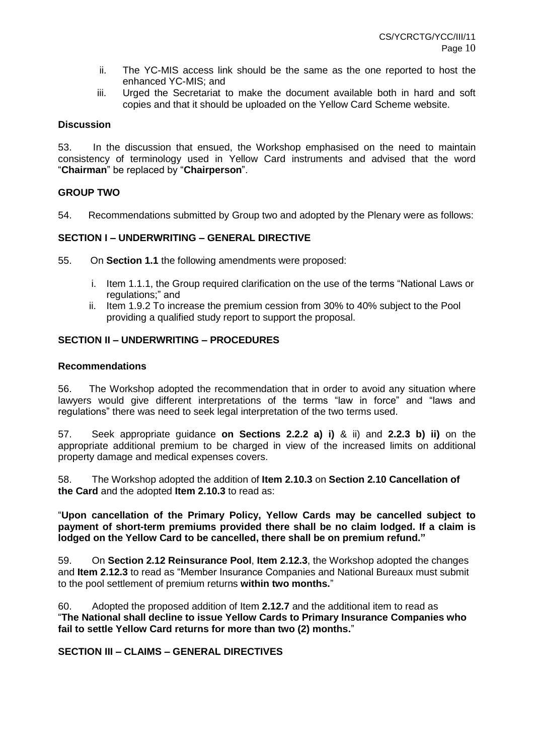- ii. The YC-MIS access link should be the same as the one reported to host the enhanced YC-MIS; and
- iii. Urged the Secretariat to make the document available both in hard and soft copies and that it should be uploaded on the Yellow Card Scheme website.

## **Discussion**

53. In the discussion that ensued, the Workshop emphasised on the need to maintain consistency of terminology used in Yellow Card instruments and advised that the word "**Chairman**" be replaced by "**Chairperson**".

## **GROUP TWO**

54. Recommendations submitted by Group two and adopted by the Plenary were as follows:

# **SECTION I – UNDERWRITING – GENERAL DIRECTIVE**

55. On **Section 1.1** the following amendments were proposed:

- i. Item 1.1.1, the Group required clarification on the use of the terms "National Laws or regulations;" and
- ii. Item 1.9.2 To increase the premium cession from 30% to 40% subject to the Pool providing a qualified study report to support the proposal.

### **SECTION II – UNDERWRITING – PROCEDURES**

### **Recommendations**

56. The Workshop adopted the recommendation that in order to avoid any situation where lawyers would give different interpretations of the terms "law in force" and "laws and regulations" there was need to seek legal interpretation of the two terms used.

57. Seek appropriate guidance **on Sections 2.2.2 a) i)** & ii) and **2.2.3 b) ii)** on the appropriate additional premium to be charged in view of the increased limits on additional property damage and medical expenses covers.

58. The Workshop adopted the addition of **Item 2.10.3** on **Section 2.10 Cancellation of the Card** and the adopted **Item 2.10.3** to read as:

"**Upon cancellation of the Primary Policy, Yellow Cards may be cancelled subject to payment of short-term premiums provided there shall be no claim lodged. If a claim is lodged on the Yellow Card to be cancelled, there shall be on premium refund."**

59. On **Section 2.12 Reinsurance Pool**, **Item 2.12.3**, the Workshop adopted the changes and **Item 2.12.3** to read as "Member Insurance Companies and National Bureaux must submit to the pool settlement of premium returns **within two months.**"

60. Adopted the proposed addition of Item **2.12.7** and the additional item to read as "**The National shall decline to issue Yellow Cards to Primary Insurance Companies who fail to settle Yellow Card returns for more than two (2) months.**"

### **SECTION III – CLAIMS – GENERAL DIRECTIVES**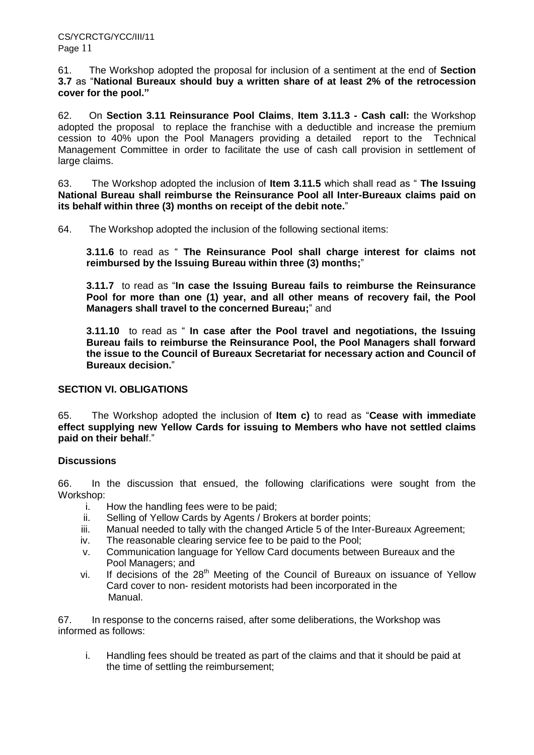61. The Workshop adopted the proposal for inclusion of a sentiment at the end of **Section 3.7** as "**National Bureaux should buy a written share of at least 2% of the retrocession cover for the pool."**

62. On **Section 3.11 Reinsurance Pool Claims**, **Item 3.11.3 - Cash call:** the Workshop adopted the proposal to replace the franchise with a deductible and increase the premium cession to 40% upon the Pool Managers providing a detailed report to the Technical Management Committee in order to facilitate the use of cash call provision in settlement of large claims.

63. The Workshop adopted the inclusion of **Item 3.11.5** which shall read as " **The Issuing National Bureau shall reimburse the Reinsurance Pool all Inter-Bureaux claims paid on its behalf within three (3) months on receipt of the debit note.**"

64. The Workshop adopted the inclusion of the following sectional items:

**3.11.6** to read as " **The Reinsurance Pool shall charge interest for claims not reimbursed by the Issuing Bureau within three (3) months;**"

**3.11.7** to read as "**In case the Issuing Bureau fails to reimburse the Reinsurance Pool for more than one (1) year, and all other means of recovery fail, the Pool Managers shall travel to the concerned Bureau;**" and

**3.11.10** to read as " **In case after the Pool travel and negotiations, the Issuing Bureau fails to reimburse the Reinsurance Pool, the Pool Managers shall forward the issue to the Council of Bureaux Secretariat for necessary action and Council of Bureaux decision.**"

# **SECTION VI. OBLIGATIONS**

65. The Workshop adopted the inclusion of **Item c)** to read as "**Cease with immediate effect supplying new Yellow Cards for issuing to Members who have not settled claims paid on their behal**f."

# **Discussions**

66. In the discussion that ensued, the following clarifications were sought from the Workshop:

- i. How the handling fees were to be paid;
- ii. Selling of Yellow Cards by Agents / Brokers at border points;
- iii. Manual needed to tally with the changed Article 5 of the Inter-Bureaux Agreement;
- iv. The reasonable clearing service fee to be paid to the Pool;
- v. Communication language for Yellow Card documents between Bureaux and the Pool Managers; and
- vi. If decisions of the  $28<sup>th</sup>$  Meeting of the Council of Bureaux on issuance of Yellow Card cover to non- resident motorists had been incorporated in the Manual.

67. In response to the concerns raised, after some deliberations, the Workshop was informed as follows:

i. Handling fees should be treated as part of the claims and that it should be paid at the time of settling the reimbursement;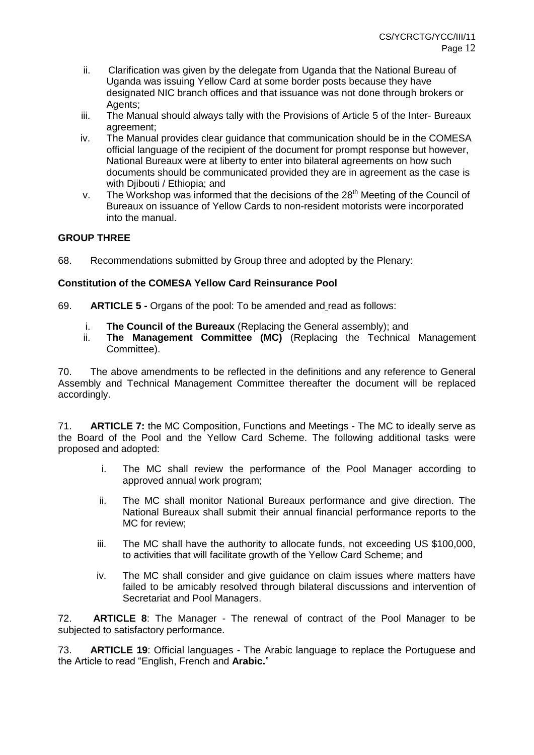- ii. Clarification was given by the delegate from Uganda that the National Bureau of Uganda was issuing Yellow Card at some border posts because they have designated NIC branch offices and that issuance was not done through brokers or Agents:
- iii. The Manual should always tally with the Provisions of Article 5 of the Inter- Bureaux agreement;
- iv. The Manual provides clear guidance that communication should be in the COMESA official language of the recipient of the document for prompt response but however, National Bureaux were at liberty to enter into bilateral agreements on how such documents should be communicated provided they are in agreement as the case is with Diibouti / Ethiopia: and
- v. The Workshop was informed that the decisions of the  $28<sup>th</sup>$  Meeting of the Council of Bureaux on issuance of Yellow Cards to non-resident motorists were incorporated into the manual.

# **GROUP THREE**

68. Recommendations submitted by Group three and adopted by the Plenary:

# **Constitution of the COMESA Yellow Card Reinsurance Pool**

- 69. **ARTICLE 5 -** Organs of the pool: To be amended and read as follows:
	- i. **The Council of the Bureaux** (Replacing the General assembly); and
	- ii. **The Management Committee (MC)** (Replacing the Technical Management Committee).

70. The above amendments to be reflected in the definitions and any reference to General Assembly and Technical Management Committee thereafter the document will be replaced accordingly.

71. **ARTICLE 7:** the MC Composition, Functions and Meetings - The MC to ideally serve as the Board of the Pool and the Yellow Card Scheme. The following additional tasks were proposed and adopted:

- i. The MC shall review the performance of the Pool Manager according to approved annual work program;
- ii. The MC shall monitor National Bureaux performance and give direction. The National Bureaux shall submit their annual financial performance reports to the MC for review;
- iii. The MC shall have the authority to allocate funds, not exceeding US \$100,000, to activities that will facilitate growth of the Yellow Card Scheme; and
- iv. The MC shall consider and give guidance on claim issues where matters have failed to be amicably resolved through bilateral discussions and intervention of Secretariat and Pool Managers.

72. **ARTICLE 8**: The Manager - The renewal of contract of the Pool Manager to be subjected to satisfactory performance.

73. **ARTICLE 19**: Official languages - The Arabic language to replace the Portuguese and the Article to read "English, French and **Arabic.**"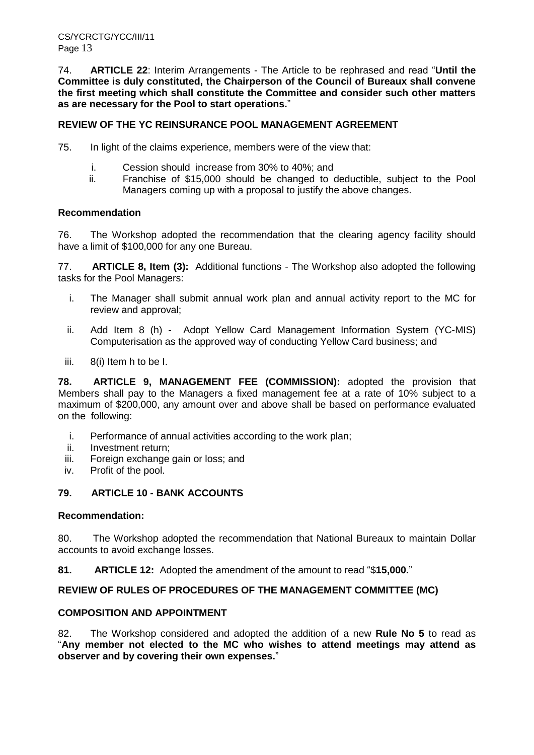74. **ARTICLE 22**: Interim Arrangements - The Article to be rephrased and read "**Until the Committee is duly constituted, the Chairperson of the Council of Bureaux shall convene the first meeting which shall constitute the Committee and consider such other matters as are necessary for the Pool to start operations.**"

# **REVIEW OF THE YC REINSURANCE POOL MANAGEMENT AGREEMENT**

75. In light of the claims experience, members were of the view that:

- i. Cession should increase from 30% to 40%; and
- ii. Franchise of \$15,000 should be changed to deductible, subject to the Pool Managers coming up with a proposal to justify the above changes.

### **Recommendation**

76. The Workshop adopted the recommendation that the clearing agency facility should have a limit of \$100,000 for any one Bureau.

77. **ARTICLE 8, Item (3):** Additional functions - The Workshop also adopted the following tasks for the Pool Managers:

- i. The Manager shall submit annual work plan and annual activity report to the MC for review and approval;
- ii. Add Item 8 (h) Adopt Yellow Card Management Information System (YC-MIS) Computerisation as the approved way of conducting Yellow Card business; and
- iii. 8(i) Item h to be I.

**78. ARTICLE 9, MANAGEMENT FEE (COMMISSION):** adopted the provision that Members shall pay to the Managers a fixed management fee at a rate of 10% subject to a maximum of \$200,000, any amount over and above shall be based on performance evaluated on the following:

- i. Performance of annual activities according to the work plan;
- ii. Investment return;
- iii. Foreign exchange gain or loss; and
- iv. Profit of the pool.

# **79. ARTICLE 10 - BANK ACCOUNTS**

### **Recommendation:**

80. The Workshop adopted the recommendation that National Bureaux to maintain Dollar accounts to avoid exchange losses.

**81. ARTICLE 12:** Adopted the amendment of the amount to read "\$**15,000.**"

# **REVIEW OF RULES OF PROCEDURES OF THE MANAGEMENT COMMITTEE (MC)**

# **COMPOSITION AND APPOINTMENT**

82. The Workshop considered and adopted the addition of a new **Rule No 5** to read as "**Any member not elected to the MC who wishes to attend meetings may attend as observer and by covering their own expenses.**"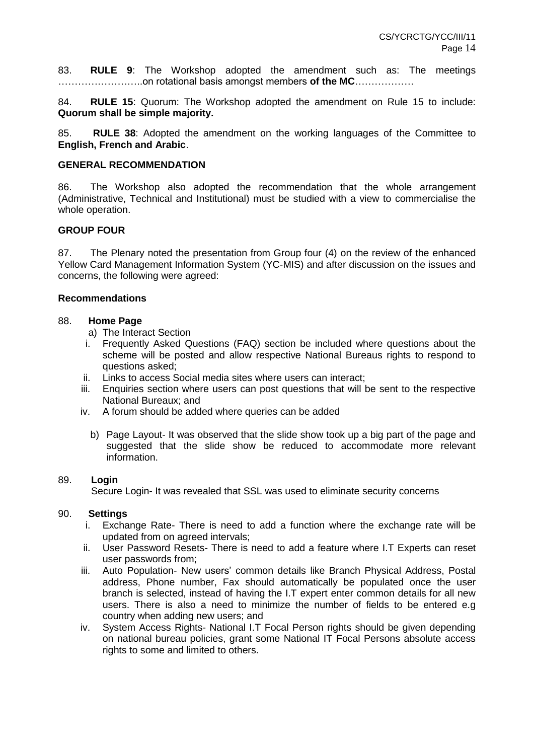83. **RULE 9**: The Workshop adopted the amendment such as: The meetings ……………………..on rotational basis amongst members **of the MC**………………

84. **RULE 15**: Quorum: The Workshop adopted the amendment on Rule 15 to include: **Quorum shall be simple majority.**

85. **RULE 38**: Adopted the amendment on the working languages of the Committee to **English, French and Arabic**.

### **GENERAL RECOMMENDATION**

86. The Workshop also adopted the recommendation that the whole arrangement (Administrative, Technical and Institutional) must be studied with a view to commercialise the whole operation.

### **GROUP FOUR**

87. The Plenary noted the presentation from Group four (4) on the review of the enhanced Yellow Card Management Information System (YC-MIS) and after discussion on the issues and concerns, the following were agreed:

### **Recommendations**

### 88. **Home Page**

- a)The Interact Section
- i. Frequently Asked Questions (FAQ) section be included where questions about the scheme will be posted and allow respective National Bureaus rights to respond to questions asked;
- ii. Links to access Social media sites where users can interact;
- iii. Enquiries section where users can post questions that will be sent to the respective National Bureaux; and
- iv. A forum should be added where queries can be added
	- b) Page Layout- It was observed that the slide show took up a big part of the page and suggested that the slide show be reduced to accommodate more relevant information.

### 89. **Login**

Secure Login- It was revealed that SSL was used to eliminate security concerns

### 90. **Settings**

- i. Exchange Rate- There is need to add a function where the exchange rate will be updated from on agreed intervals;
- ii. User Password Resets- There is need to add a feature where I.T Experts can reset user passwords from;
- iii. Auto Population- New users' common details like Branch Physical Address, Postal address, Phone number, Fax should automatically be populated once the user branch is selected, instead of having the I.T expert enter common details for all new users. There is also a need to minimize the number of fields to be entered e.g country when adding new users; and
- iv. System Access Rights- National I.T Focal Person rights should be given depending on national bureau policies, grant some National IT Focal Persons absolute access rights to some and limited to others.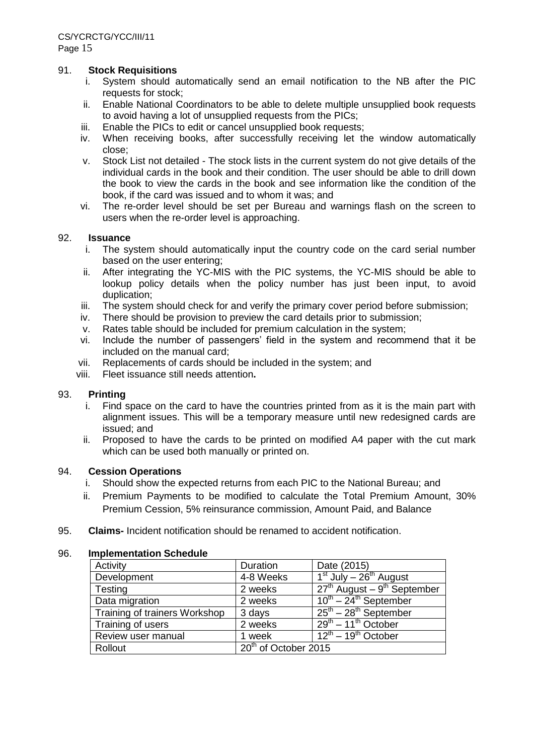### 91. **Stock Requisitions**

- i. System should automatically send an email notification to the NB after the PIC requests for stock;
- ii. Enable National Coordinators to be able to delete multiple unsupplied book requests to avoid having a lot of unsupplied requests from the PICs;
- iii. Enable the PICs to edit or cancel unsupplied book requests;
- iv. When receiving books, after successfully receiving let the window automatically close;
- v. Stock List not detailed The stock lists in the current system do not give details of the individual cards in the book and their condition. The user should be able to drill down the book to view the cards in the book and see information like the condition of the book, if the card was issued and to whom it was; and
- vi. The re-order level should be set per Bureau and warnings flash on the screen to users when the re-order level is approaching.

### 92. **Issuance**

- i. The system should automatically input the country code on the card serial number based on the user entering;
- ii. After integrating the YC-MIS with the PIC systems, the YC-MIS should be able to lookup policy details when the policy number has just been input, to avoid duplication;
- iii. The system should check for and verify the primary cover period before submission;
- iv. There should be provision to preview the card details prior to submission;
- v. Rates table should be included for premium calculation in the system;
- vi. Include the number of passengers' field in the system and recommend that it be included on the manual card;
- vii. Replacements of cards should be included in the system; and
- viii. Fleet issuance still needs attention**.**

### 93. **Printing**

- i. Find space on the card to have the countries printed from as it is the main part with alignment issues. This will be a temporary measure until new redesigned cards are issued; and
- ii. Proposed to have the cards to be printed on modified A4 paper with the cut mark which can be used both manually or printed on.

### 94. **Cession Operations**

- i. Should show the expected returns from each PIC to the National Bureau; and
- ii. Premium Payments to be modified to calculate the Total Premium Amount, 30% Premium Cession, 5% reinsurance commission, Amount Paid, and Balance
- 95. **Claims-** Incident notification should be renamed to accident notification.

### 96. **Implementation Schedule**

| Activity                      | Duration               | Date (2015)                                 |
|-------------------------------|------------------------|---------------------------------------------|
| Development                   | 4-8 Weeks              | $1st$ July – $26th$ August                  |
| Testing                       | 2 weeks                | $27th$ August – 9 <sup>th</sup> September   |
| Data migration                | 2 weeks                | $10^{th}$ – 24 <sup>th</sup> September      |
| Training of trainers Workshop | 3 days                 | $25^{\text{th}} - 28^{\text{th}}$ September |
| Training of users             | 2 weeks                | $29th - 11th October$                       |
| Review user manual            | 1 week                 | $12^{th}$ – 19 <sup>th</sup> October        |
| Rollout                       | $20th$ of October 2015 |                                             |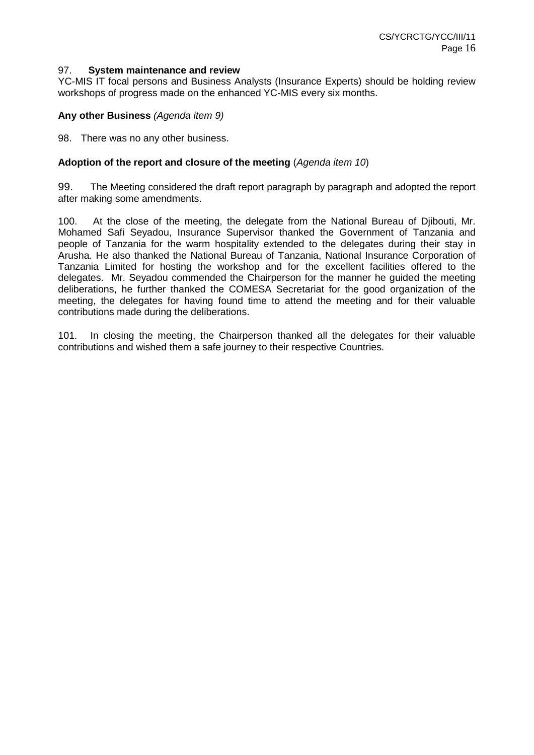#### 97. **System maintenance and review**

YC-MIS IT focal persons and Business Analysts (Insurance Experts) should be holding review workshops of progress made on the enhanced YC-MIS every six months.

### **Any other Business** *(Agenda item 9)*

98. There was no any other business.

### **Adoption of the report and closure of the meeting** (*Agenda item 10*)

99. The Meeting considered the draft report paragraph by paragraph and adopted the report after making some amendments.

100. At the close of the meeting, the delegate from the National Bureau of Djibouti, Mr. Mohamed Safi Seyadou, Insurance Supervisor thanked the Government of Tanzania and people of Tanzania for the warm hospitality extended to the delegates during their stay in Arusha. He also thanked the National Bureau of Tanzania, National Insurance Corporation of Tanzania Limited for hosting the workshop and for the excellent facilities offered to the delegates. Mr. Seyadou commended the Chairperson for the manner he guided the meeting deliberations, he further thanked the COMESA Secretariat for the good organization of the meeting, the delegates for having found time to attend the meeting and for their valuable contributions made during the deliberations.

101. In closing the meeting, the Chairperson thanked all the delegates for their valuable contributions and wished them a safe journey to their respective Countries.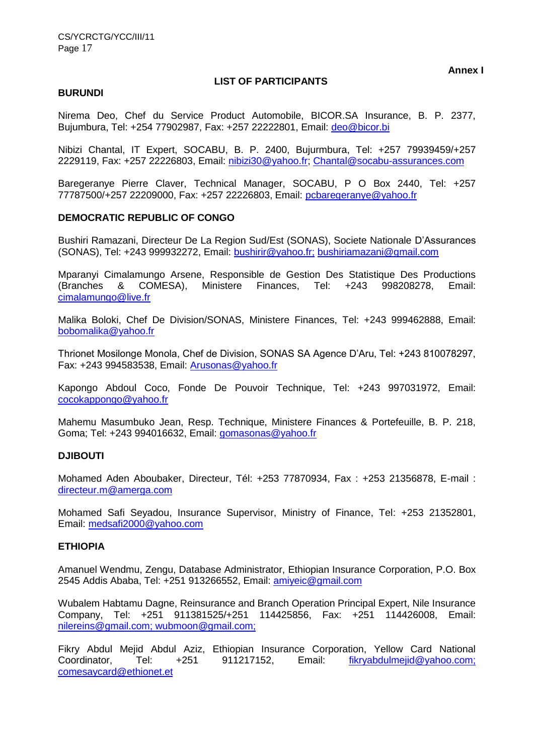### **LIST OF PARTICIPANTS**

### **BURUNDI**

Nirema Deo, Chef du Service Product Automobile, BICOR.SA Insurance, B. P. 2377, Bujumbura, Tel: +254 77902987, Fax: +257 22222801, Email: [deo@bicor.bi](mailto:deo@bicor.bi)

Nibizi Chantal, IT Expert, SOCABU, B. P. 2400, Bujurmbura, Tel: +257 79939459/+257 2229119, Fax: +257 22226803, Email: [nibizi30@yahoo.fr;](mailto:nibizi30@yahoo.fr) [Chantal@socabu-assurances.com](mailto:Chantal@socabu-assurances.com)

Baregeranye Pierre Claver, Technical Manager, SOCABU, P O Box 2440, Tel: +257 77787500/+257 22209000, Fax: +257 22226803, Email: [pcbaregeranye@yahoo.fr](mailto:pcbaregeranye@yahoo.fr)

# **DEMOCRATIC REPUBLIC OF CONGO**

Bushiri Ramazani, Directeur De La Region Sud/Est (SONAS), Societe Nationale D'Assurances (SONAS), Tel: +243 999932272, Email: [bushirir@yahoo.fr;](mailto:bushirir@yahoo.fr;) bushiriamazani@gmail.com

Mparanyi Cimalamungo Arsene, Responsible de Gestion Des Statistique Des Productions<br>(Branches & COMESA), Ministere Finances, Tel: +243 998208278. Email: (Branches & COMESA), Ministere Finances, [Tel: +243](Tel:+243) 998208278, Email: [cimalamungo@live.fr](mailto:cimalamungo@live.fr)

Malika Boloki, Chef De Division/SONAS, Ministere Finances, Tel: +243 999462888, Email: [bobomalika@yahoo.fr](mailto:bobomalika@yahoo.fr)

Thrionet Mosilonge Monola, Chef de Division, SONAS SA Agence D'Aru, Tel: +243 810078297, Fax: +243 994583538, Email: [Arusonas@yahoo.fr](mailto:Arusonas@yahoo.fr)

Kapongo Abdoul Coco, Fonde De Pouvoir Technique, Tel: +243 997031972, Email: [cocokappongo@yahoo.fr](mailto:cocokappongo@yahoo.fr)

Mahemu Masumbuko Jean, Resp. Technique, Ministere Finances & Portefeuille, B. P. 218, Goma; Tel: +243 994016632, Email: [gomasonas@yahoo.fr](mailto:gomasonas@yahoo.fr)

### **DJIBOUTI**

Mohamed Aden Aboubaker, Directeur, Tél: +253 77870934, Fax : +253 21356878, E-mail : [directeur.m@amerga.com](mailto:directeur.m@amerga.com)

Mohamed Safi Seyadou, Insurance Supervisor, Ministry of Finance, Tel: +253 21352801, Email: [medsafi2000@yahoo.com](mailto:medsafi2000@yahoo.com)

# **ETHIOPIA**

Amanuel Wendmu, Zengu, Database Administrator, Ethiopian Insurance Corporation, P.O. Box 2545 Addis Ababa, Tel: +251 913266552, Email: [amiyeic@gmail.com](mailto:amiyeic@gmail.com)

Wubalem Habtamu Dagne, Reinsurance and Branch Operation Principal Expert, Nile Insurance Company, Tel: +251 911381525/+251 114425856, Fax: +251 114426008, Email: [nilereins@gmail.com; wubmoon@gmail.com;](mailto:nilereins@gmail.com;%20wubmoon@gmail.com)

Fikry Abdul Mejid Abdul Aziz, Ethiopian Insurance Corporation, Yellow Card National Coordinator, Tel: +251 911217152, Email: [fikryabdulmejid@yahoo.com;](mailto:fikryabdulmejid@yahoo.com) comesaycard@ethionet.et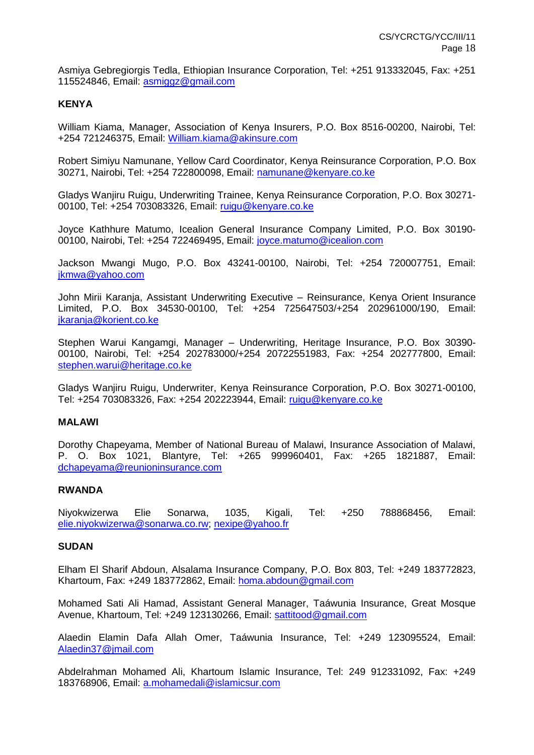Asmiya Gebregiorgis Tedla, Ethiopian Insurance Corporation, Tel: +251 913332045, Fax: +251 115524846, Email: [asmiggz@gmail.com](mailto:asmiggz@gmail.com)

# **KENYA**

William Kiama, Manager, Association of Kenya Insurers, P.O. Box 8516-00200, Nairobi, Tel: +254 721246375, Email: [William.kiama@akinsure.com](mailto:William.kiama@akinsure.com)

Robert Simiyu Namunane, Yellow Card Coordinator, Kenya Reinsurance Corporation, P.O. Box 30271, Nairobi, Tel: +254 722800098, Email: [namunane@kenyare.co.ke](mailto:namunane@kenyare.co.ke)

Gladys Wanjiru Ruigu, Underwriting Trainee, Kenya Reinsurance Corporation, P.O. Box 30271- 00100, Tel: +254 703083326, Email: [ruigu@kenyare.co.ke](mailto:ruigu@kenyare.co.ke)

Joyce Kathhure Matumo, Icealion General Insurance Company Limited, P.O. Box 30190- 00100, Nairobi, Tel: +254 722469495, Email: [joyce.matumo@icealion.com](mailto:joyce.matumo@icealion.com)

Jackson Mwangi Mugo, P.O. Box 43241-00100, Nairobi, Tel: +254 720007751, Email: [jkmwa@yahoo.com](mailto:jkmwa@yahoo.com)

John Mirii Karanja, Assistant Underwriting Executive – Reinsurance, Kenya Orient Insurance Limited, P.O. Box 34530-00100, Tel: +254 725647503/+254 202961000/190, Email: [jkaranja@korient.co.ke](mailto:jkaranja@korient.co.ke)

Stephen Warui Kangamgi, Manager – Underwriting, Heritage Insurance, P.O. Box 30390- 00100, Nairobi, Tel: +254 202783000/+254 20722551983, Fax: +254 202777800, Email: [stephen.warui@heritage.co.ke](mailto:stephen.warui@heritage.co.ke)

Gladys Wanjiru Ruigu, Underwriter, Kenya Reinsurance Corporation, P.O. Box 30271-00100, Tel: +254 703083326, Fax: +254 202223944, Email: [ruigu@kenyare.co.ke](mailto:ruigu@kenyare.co.ke)

### **MALAWI**

Dorothy Chapeyama, Member of National Bureau of Malawi, Insurance Association of Malawi, P. O. Box 1021, Blantyre, Tel: +265 999960401, Fax: +265 1821887, Email: [dchapeyama@reunioninsurance.com](mailto:dchapeyama@reunioninsurance.com)

### **RWANDA**

Niyokwizerwa Elie Sonarwa, 1035, Kigali, Tel: +250 788868456, Email: [elie.niyokwizerwa@sonarwa.co.rw;](mailto:elie.niyokwizerwa@sonarwa.co.rw) [nexipe@yahoo.fr](mailto:nexipe@yahoo.fr)

### **SUDAN**

Elham El Sharif Abdoun, Alsalama Insurance Company, P.O. Box 803, Tel: +249 183772823, Khartoum, Fax: +249 183772862, Email: [homa.abdoun@gmail.com](mailto:homa.abdoun@gmail.com)

Mohamed Sati Ali Hamad, Assistant General Manager, Taáwunia Insurance, Great Mosque Avenue, Khartoum, Tel: +249 123130266, Email: [sattitood@gmail.com](mailto:sattitood@gmail.com)

Alaedin Elamin Dafa Allah Omer, Taáwunia Insurance, Tel: +249 123095524, Email: [Alaedin37@jmail.com](mailto:Alaedin37@jmail.com)

Abdelrahman Mohamed Ali, Khartoum Islamic Insurance, Tel: 249 912331092, Fax: +249 183768906, Email: [a.mohamedali@islamicsur.com](mailto:a.mohamedali@islamicsur.com)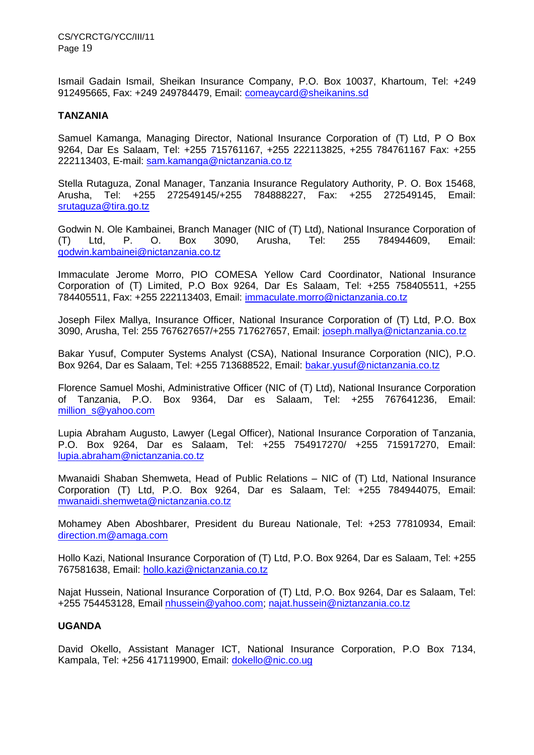Ismail Gadain Ismail, Sheikan Insurance Company, P.O. Box 10037, Khartoum, Tel: +249 912495665, Fax: +249 249784479, Email: [comeaycard@sheikanins.sd](mailto:comeaycard@sheikanins.sd)

## **TANZANIA**

Samuel Kamanga, Managing Director, National Insurance Corporation of (T) Ltd, P O Box 9264, Dar Es Salaam, Tel: +255 715761167, +255 222113825, +255 784761167 Fax: +255 222113403, E-mail: sam.kamanga@nictanzania.co.tz

Stella Rutaguza, Zonal Manager, Tanzania Insurance Regulatory Authority, P. O. Box 15468, Arusha, Tel: +255 272549145/+255 784888227, Fax: +255 272549145, Email: [srutaguza@tira.go.tz](mailto:srutaguza@tira.go.tz)

Godwin N. Ole Kambainei, Branch Manager (NIC of (T) Ltd), National Insurance Corporation of (T) Ltd, P. O. Box 3090, Arusha, Tel: 255 784944609, Email: [godwin.kambainei@nictanzania.co.tz](mailto:godwin.kambainei@nictanzania.co.tz)

Immaculate Jerome Morro, PIO COMESA Yellow Card Coordinator, National Insurance Corporation of (T) Limited, P.O Box 9264, Dar Es Salaam, Tel: +255 758405511, +255 784405511, Fax: +255 222113403, Email: [immaculate.morro@nictanzania.co.tz](mailto:immaculate.morro@nictanzania.co.tz)

Joseph Filex Mallya, Insurance Officer, National Insurance Corporation of (T) Ltd, P.O. Box 3090, Arusha, Tel: 255 767627657/+255 717627657, Email: [joseph.mallya@nictanzania.co.tz](mailto:joseph.mallya@nictanzania.co.tz)

Bakar Yusuf, Computer Systems Analyst (CSA), National Insurance Corporation (NIC), P.O. Box 9264, Dar es Salaam, Tel: +255 713688522, Email: [bakar.yusuf@nictanzania.co.tz](mailto:bakar.yusuf@nictanzania.co.tz)

Florence Samuel Moshi, Administrative Officer (NIC of (T) Ltd), National Insurance Corporation of Tanzania, P.O. Box 9364, Dar es Salaam, Tel: +255 767641236, Email: [million\\_s@yahoo.com](mailto:million_s@yahoo.com)

Lupia Abraham Augusto, Lawyer (Legal Officer), National Insurance Corporation of Tanzania, P.O. Box 9264, Dar es Salaam, Tel: +255 754917270/ +255 715917270, Email: [lupia.abraham@nictanzania.co.tz](mailto:lupia.abraham@nictanzania.co.tz)

Mwanaidi Shaban Shemweta, Head of Public Relations – NIC of (T) Ltd, National Insurance Corporation (T) Ltd, P.O. Box 9264, Dar es Salaam, Tel: +255 784944075, Email: [mwanaidi.shemweta@nictanzania.co.tz](mailto:mwanaidi.shemweta@nictanzania.co.tz)

Mohamey Aben Aboshbarer, President du Bureau Nationale, Tel: +253 77810934, Email: [direction.m@amaga.com](mailto:direction.m@amaga.com)

Hollo Kazi, National Insurance Corporation of (T) Ltd, P.O. Box 9264, Dar es Salaam, Tel: +255 767581638, Email: [hollo.kazi@nictanzania.co.tz](mailto:hollo.kazi@nictanzania.co.tz)

Najat Hussein, National Insurance Corporation of (T) Ltd, P.O. Box 9264, Dar es Salaam, Tel: +255 754453128, Email [nhussein@yahoo.com;](mailto:nhussein@yahoo.com) [najat.hussein@niztanzania.co.tz](mailto:najat.hussein@niztanzania.co.tz)

# **UGANDA**

David Okello, Assistant Manager ICT, National Insurance Corporation, P.O Box 7134, Kampala, Tel: +256 417119900, Email: [dokello@nic.co.ug](mailto:dokello@nic.co.ug)